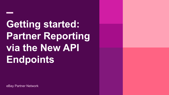**Getting started: Partner Reporting via the New API Endpoints**

eBay Partner Network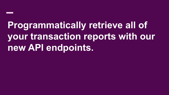**Programmatically retrieve all of your transaction reports with our new API endpoints.**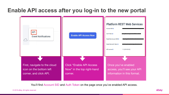### **Enable API access after you log-in to the new portal**



You'll find Account SID and Auth Token on the page once you've enabled API access.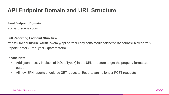### **API Endpoint Domain and URL Structure**

#### **Final Endpoint Domain**

api.partner.ebay.com

#### **Full Reporting Endpoint Structure**

https://<AccountSID>:<AuthToken>@api.partner.ebay.com/mediapartners/<AccountSID>/reports/< ReportName><DataType>?<parameters>

#### **Please Note**

- Add .json or .csv in place of (<DataType>) in the URL structure to get the properly formatted output.
- All new EPN reports should be GET requests. Reports are no longer POST requests.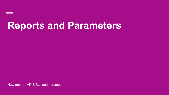# **Reports and Parameters**

New reports, API URLs and parameters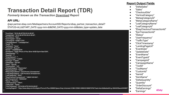## **Transaction Detail Report (TDR)**

*Formerly known as the Transaction Download Report*

#### **API URL:**

@api.partner.ebay.com/Mediapartners/AccountSID/Reports/ebay\_partner\_transaction\_detail? STATUS=ALL&START\_DATE=yyyy-mm-dd&END\_DATE=yyyy-mm-dd&date\_type=update\_date

"EventDate": "2019-08-05T00:30:24-06:00". "UpdateDate": "2019-08-05T00:30:24-06:00". "EventName": "Sale". "EventTypeId": "18122", "CampaignId": "5338111370". "CampaignName": "CampaignOne", "Toolld": "0". "ToolName": "None". "CustomId": "BuyerA", "ItemId": "143266804979". "ItemName": "Apple iPhone 8 Plus Silver 64GB Sprint Bad ESN", "DeltaQuantity": "1". "Quantity": "1". "OrderDiscount": "". "DeltaEarnings": "7.6200". "Earnings": "7.6200", "DeltaSales": "254.00". "Sales": "254.00". "CheckoutSite": "US", "VerticalCategory": "Electronics", "MetaCategoryId": "15032", "MetaCategoryName": "Cell Phones & Accessories", "LeafCategoryName": "Cell Phones & Smartphones", "LeafCategoryId": "9355", "EbayCheckoutTransactionId": "1680611001004", "EpnTransactionId": "20355242", "Status": "Pending", "UserFrequency": "Other", "TrafficType": "Tablet", "ClickTimestamp": "2019-08-04T22:36:55-06:00", "LandingPageUrl": "https://www.ebay.com/itm/Apple-iPhone-8-Plus-256GB-Space-Gray-Unlocked-A1864-CDMA-GSM/401808073764?hash=item5d8da0a424:g:rG0AAOSwzoZdH09O"

#### **Report Output Fields**

- "DeltaSales"
- "Sales"
- "CheckoutSite"
- "VerticalCategory"
- "MetaqCategoryId"
- "MetaCategoryName"
- "LeafCategoryName"
- "LeafCategoryId"
- "EbayCheckoutTransactionId"
- "EpnTransactionId"
- "Status"
- "UserFrequency"
- "TrafficType"
- "ClickTimestamp"
- "LandingPageUrl"
- "EventDate"
- "UpdateDate"
- "EventName"
- "EventTypeId"
- "CampaignId"
- "CampaignName"
- "ToolId"
- "ToolName"
- "CustomId"
- "ItemId"
- "ItemName"
- "DeltaQuantity"
- "Quantity"
- "OrderDiscount"
- "DeltaEarnings"
- "Earnings"

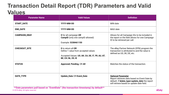### **Transaction Detail Report (TDR) Parameters and Valid Values**

| <b>Parameter Name</b> | <b>Valid Values</b>                                                                                                                 | <b>Definition</b>                                                                                                                                                       |
|-----------------------|-------------------------------------------------------------------------------------------------------------------------------------|-------------------------------------------------------------------------------------------------------------------------------------------------------------------------|
| <b>START_DATE</b>     | YYYY-MM-DD                                                                                                                          | MIN date                                                                                                                                                                |
| <b>END_DATE</b>       | YYYY-MM-DD                                                                                                                          | MAX date                                                                                                                                                                |
| <b>CAMPAIGN_EBAY</b>  | <b>0</b> for all campaign OR<br>CampID (only one campID allowed)<br>Example: 5338461150                                             | Allows for all Campaign IDs to be included in<br>the report or the field allows for one Campaign<br>ID to be retrieved per call.                                        |
| <b>CHECKOUT SITE</b>  | 0 to return all OR<br>Define 1 value from accepted values<br>Accepted Values: US, UK, CA, DE, IT, FR, AU, AT,<br>BE, CH, NL, ES, IE | The eBay Partner Network (EPN) program the<br>transaction is attributed to and the value is<br>defined as US, UK, DE, etc.                                              |
| <b>STATUS</b>         | Approved, Pending, OR All                                                                                                           | Matches the status of the transaction.                                                                                                                                  |
| DATE_TYPE             | <b>Update_Date OR Event_Date</b>                                                                                                    | <b>Optional Parameter</b><br>Report retrieves data based on Event Date by<br>default. If &date_type=update_date the report<br>will retrieve based on update date field. |

© 2018 eBay. All rights reserved. **\*\*Date parameters pull based on "EventDate" (the transaction timestamp) by default\*\***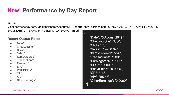### **New! Performance by Day Report**

#### **API URL:**

@api.partner.ebay.com/Mediapartners/AccountSID/Reports/ebay\_partner\_perf\_by\_day?CAMPAIGN\_ID=0&CHECKOUT\_SIT

 $\overline{\mathbf{y}}$ 

E=0&START\_DATE=yyyy-mm-dd&END\_DATE=yyyy-mm-dd

#### **Report Output Fields**

- "Date"
- "CheckoutSite"
- "Clicks"
- "Sales"
- "ItemsOrdered"
- "Transactions"
- "Earnings"
- $"FPC"$
- "PctOfSales"
- $C'R''$
- $"$ AIV"
- "OtherEarnings"

"Date": "5 August 2019", "CheckoutSite": "US", "Clicks": "0". "Sales": "14980.09", "ItemsOrdered": "270", "Transactions": "233", "Earnings": "457.7000", "EPC": "0.0000", "PctOfSales": "0.0305", "CR": "0.0", "AIV": "55.48", "OtherEarnings": "0.0000"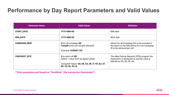### **Performance by Day Report Parameters and Valid Values**

| <b>Parameter Name</b> | <b>Valid Values</b>                                                                                                                        | <b>Definition</b>                                                                                                                |
|-----------------------|--------------------------------------------------------------------------------------------------------------------------------------------|----------------------------------------------------------------------------------------------------------------------------------|
| <b>START_DATE</b>     | YYYY-MM-DD                                                                                                                                 | MIN date                                                                                                                         |
| <b>END_DATE</b>       | YYYY-MM-DD                                                                                                                                 | MAX date                                                                                                                         |
| <b>CAMPAIGN_EBAY</b>  | <b>0</b> for all campaign OR<br><b>CampID</b> (only one campID allowed)<br>Example: 5338461150                                             | Allows for all Campaign IDs to be included in<br>the report or the field allows for one Campaign<br>ID to be retrieved per call. |
| <b>CHECKOUT_SITE</b>  | <b>0</b> to return all OR<br>Define 1 value from accepted values<br>Accepted Values: US, UK, CA, DE, IT, FR, AU, AT,<br>BE, CH, NL, ES, IE | The eBay Partner Network (EPN) program the<br>transaction is attributed to and the value is<br>defined as US, UK, DE, etc.       |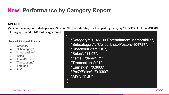### **New! Performance by Category Report**

 $\{$ 

#### **API URL:**

@api.partner.ebay.com/Mediapartners/AccountSID/Reports/ebay\_partner\_perf\_by\_category?CHECKOUT\_SITE=0&START\_

DATE=yyyy-mm-dd&END\_DATE=yyyy-mm-dd

#### **Report Output Fields**

- "Category"
- "Subcategory"
- "CheckoutSite"
- "Sales"
- "ItemsOrdered"
- "Transactions"
- "Earnings"
- $"$ AIV"

"Category": "0-45100-Entertainment Memorabilia", "Subcategory": "Collectibles>Posters-104727", "CheckoutSite": "US", "Sales": "11.97". "ItemsOrdered": "1". "Transactions": "1", "Earnings": "0.3600", "PctOfSales": "0.0300", "AIV": "11.97"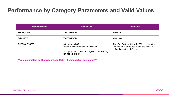### **Performance by Category Parameters and Valid Values**

| <b>Parameter Name</b> | <b>Valid Values</b>                                                                                                                        | <b>Definition</b>                                                                                                          |
|-----------------------|--------------------------------------------------------------------------------------------------------------------------------------------|----------------------------------------------------------------------------------------------------------------------------|
| <b>START_DATE</b>     | YYYY-MM-DD                                                                                                                                 | MIN date                                                                                                                   |
| <b>END DATE</b>       | YYYY-MM-DD                                                                                                                                 | MAX date                                                                                                                   |
| <b>CHECKOUT_SITE</b>  | <b>0</b> to return all OR<br>Define 1 value from accepted values<br>Accepted Values: US, UK, CA, DE, IT, FR, AU, AT,<br>BE, CH, NL, ES, IE | The eBay Partner Network (EPN) program the<br>transaction is attributed to and the value is<br>defined as US, UK, DE, etc. |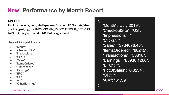### **New! Performance by Month Report**

### **API URL:**

@api.partner.ebay.com/Mediapartners/AccountSID/Reports/ebay \_partner\_perf\_by\_month?CAMPAIGN\_ID=0&CHECKOUT\_SITE=0&S TART\_DATE=yyyy-mm-dd&END\_DATE=yyyy-mm-dd

#### **Report Output Fields**

- "Month"
- "CheckoutSite"
- "Impressions"
- "Clicks"
- "Sales"
- "ItemsOrdered"
- "Transactions"
- "Earnings"
- "EPC"
- "CR"
- "AIV"
- "OtherEarnings"

"Month": "July 2019", "CheckoutSite": "US". "Impressions": "", "Clicks": "". "Sales": "3734676.48", "ItemsOrdered": "60245", "Transactions": "53818", "Earnings": "85936.1200", "EPC": "". "PctOfSales": "0.0234", "CR": "". "AIV": "61.39"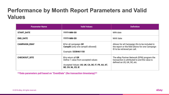### **Performance by Month Report Parameters and Valid Values**

| <b>Parameter Name</b> | <b>Valid Values</b>                                                                                                                        | <b>Definition</b>                                                                                                                |
|-----------------------|--------------------------------------------------------------------------------------------------------------------------------------------|----------------------------------------------------------------------------------------------------------------------------------|
| <b>START_DATE</b>     | YYYY-MM-DD                                                                                                                                 | MIN date                                                                                                                         |
| <b>END_DATE</b>       | YYYY-MM-DD                                                                                                                                 | MAX date                                                                                                                         |
| <b>CAMPAIGN EBAY</b>  | <b>0</b> for all campaign OR<br><b>CampID</b> (only one campID allowed)<br>Example: 5338461150                                             | Allows for all Campaign IDs to be included in<br>the report or the field allows for one Campaign<br>ID to be retrieved per call. |
| <b>CHECKOUT_SITE</b>  | <b>0</b> to return all OR<br>Define 1 value from accepted values<br>Accepted Values: US, UK, CA, DE, IT, FR, AU, AT,<br>BE, CH, NL, ES, IE | The eBay Partner Network (EPN) program the<br>transaction is attributed to and the value is<br>defined as US, UK, DE, etc.       |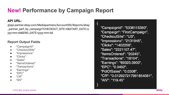## **New! Performance by Campaign Report**

### **API URL:**

@api.partner.ebay.com/Mediapartners/AccountSID/Reports/ebay \_partner\_perf\_by\_campaign?CHECKOUT\_SITE=0&START\_DATE=y yyy-mm-dd&END\_DATE=yyyy-mm-dd

#### **Report Output Fields**

- "CampaignId"
- "CheckoutSite"
- "Impressions"
- "Clicks"
- "Sales"
- "ItemsOrdered"
- "Transactions"
- "Earnings"
- "EPC"
- "CR"
- "AIV"

"CampaignId": "5338115380", "Campaign": "FirstCampaign", "CheckoutSite": "US", "Impressions": "2131945", "Clicks": "1402256", "Sales": "2221107.47", "ItemsOrdered": "20245", "Transactions": "18104", "Earnings": "69323.0900", "EPC": "0.0492". "PctOfSales": "0.0308", "CR": "0.012927217991854081", "AIV": "119.45"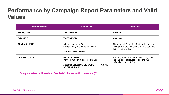### **Performance by Campaign Report Parameters and Valid Values**

| <b>Parameter Name</b> | <b>Valid Values</b>                                                                                                                 | <b>Definition</b>                                                                                                                |
|-----------------------|-------------------------------------------------------------------------------------------------------------------------------------|----------------------------------------------------------------------------------------------------------------------------------|
| <b>START_DATE</b>     | YYYY-MM-DD                                                                                                                          | MIN date                                                                                                                         |
| <b>END_DATE</b>       | YYYY-MM-DD                                                                                                                          | MAX date                                                                                                                         |
| <b>CAMPAIGN_EBAY</b>  | <b>0</b> for all campaign OR<br><b>CampID</b> (only one campID allowed)<br>Example: 5338461150                                      | Allows for all Campaign IDs to be included in<br>the report or the field allows for one Campaign<br>ID to be retrieved per call. |
| <b>CHECKOUT_SITE</b>  | 0 to return all OR<br>Define 1 value from accepted values<br>Accepted Values: US, UK, CA, DE, IT, FR, AU, AT,<br>BE, CH, NL, ES, IE | The eBay Partner Network (EPN) program the<br>transaction is attributed to and the value is<br>defined as US, UK, DE, etc.       |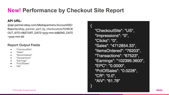### **New! Performance by Checkout Site Report**

#### **API URL:**

@api.partner.ebay.com/Mediapartners/AccountSID/ Reports/ebay\_partner\_perf\_by\_checkoutsite?CHECK OUT\_SITE=0&START\_DATE=yyyy-mm-dd&END\_DATE =yyyy-mm-dd

### **Report Output Fields**

- "CheckoutSite"
- "Sales"
- "ItemsOrdered"
- "Transactions"
- "Earnings"
- "PctOfSales"
- "AIV"

"CheckoutSite": "US", "Impressions": "0", "Clicks": "0". "Sales": "4712854.33", "ItemsOrdered": "76203", "Transactions": "67523", "Earnings": "102399.3600", "EPC": "0.0000", "PctOfSales": "0.0228", "CR": "0.0". "AIV": "61.78"

ł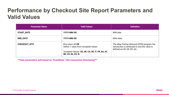### **Performance by Checkout Site Report Parameters and Valid Values**

| <b>Parameter Name</b> | <b>Valid Values</b>                                                                                                                        | <b>Definition</b>                                                                                                          |
|-----------------------|--------------------------------------------------------------------------------------------------------------------------------------------|----------------------------------------------------------------------------------------------------------------------------|
| <b>START_DATE</b>     | YYYY-MM-DD                                                                                                                                 | MIN date                                                                                                                   |
| <b>END_DATE</b>       | YYYY-MM-DD                                                                                                                                 | MAX date                                                                                                                   |
| <b>CHECKOUT_SITE</b>  | <b>0</b> to return all OR<br>Define 1 value from accepted values<br>Accepted Values: US, UK, CA, DE, IT, FR, AU, AT,<br>BE, CH, NL, ES, IE | The eBay Partner Network (EPN) program the<br>transaction is attributed to and the value is<br>defined as US, UK, DE, etc. |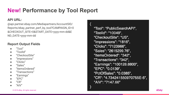### **New! Performance by Tool Report**

#### **API URL:**

@api.partner.ebay.com/Mediapartners/AccountSID/ Reports/ebay\_partner\_perf\_by\_tool?CAMPAIGN\_ID=0 &CHECKOUT\_SITE=0&START\_DATE=yyyy-mm-dd&E ND\_DATE=yyyy-mm-dd

### **Report Output Fields**

- "Tool"
- "ToolId"
- "CheckoutSite"
- "Impressions"
- "Clicks"
- "Sales"
- "ItemsOrdered"
- "Transactions"
- "Earnings"
- $"FPC"$
- $C'R''$
- $"$ AIV"

"Tool": "PublicSearchAPI", "Toolld": "10049", "CheckoutSite": "US", "Impressions": "1816", "Clicks": "7123966", "Sales": "2615299.76", "ItemsOrdered": "342", "Transactions": "342", "Earnings": "100128.8800", "EPC": "0.0139", "PctOfSales": "0.0385", "CR": "4.734241550970755E-5", "AIV": "7147.66"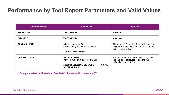### **Performance by Tool Report Parameters and Valid Values**

| <b>Parameter Name</b> | <b>Valid Values</b>                                                                                                                        | <b>Definition</b>                                                                                                                |
|-----------------------|--------------------------------------------------------------------------------------------------------------------------------------------|----------------------------------------------------------------------------------------------------------------------------------|
| <b>START_DATE</b>     | YYYY-MM-DD                                                                                                                                 | MIN date                                                                                                                         |
| <b>END_DATE</b>       | YYYY-MM-DD                                                                                                                                 | MAX date                                                                                                                         |
| <b>CAMPAIGN_EBAY</b>  | <b>0</b> for all campaign OR<br>CampID (only one campID allowed)<br>Example: 5338461150                                                    | Allows for all Campaign IDs to be included in<br>the report or the field allows for one Campaign<br>ID to be retrieved per call. |
| <b>CHECKOUT_SITE</b>  | <b>0</b> to return all OR<br>Define 1 value from accepted values<br>Accepted Values: US, UK, CA, DE, IT, FR, AU, AT,<br>BE, CH, NL, ES, IE | The eBay Partner Network (EPN) program the<br>transaction is attributed to and the value is<br>defined as US, UK, DE, etc.       |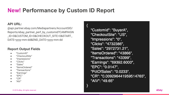### **New! Performance by Custom ID Report**

### **API URL:**

@api.partner.ebay.com/Mediapartners/AccountSID/ Reports/ebay\_partner\_perf\_by\_customid?CAMPAIGN \_ID=0&CUSTOM\_ID=0&CHECKOUT\_SITE=0&START\_ DATE=yyyy-mm-dd&END\_DATE=yyyy-mm-dd

### **Report Output Fields**

- "CustomID"
- "CheckoutSite"
- "Impressions"
- "Clicks"
- "Sales"
- "ItemsOrdered"
- "Transactions"
- "Earnings"
- "EPC"
- "CR"
- "AIV"

"CustomId": "BuyerA", "CheckoutSite": "US", "Impressions": "0", "Clicks": "4732386", "Sales": "2972731.21", "ItemsOrdered": "43866", "Transactions": "43399", "Earnings": "69392.6000", "EPC": "0.0147". "PctOfSales": "0.0233", "CR": "0.009296441959514765", "AIV": "49.65"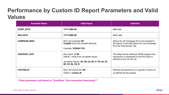## **Performance by Custom ID Report Parameters and Valid Values**

| <b>Parameter Name</b> | <b>Valid Values</b>                                                                                                                        | <b>Definition</b>                                                                                                                |
|-----------------------|--------------------------------------------------------------------------------------------------------------------------------------------|----------------------------------------------------------------------------------------------------------------------------------|
| <b>START_DATE</b>     | YYYY-MM-DD                                                                                                                                 | MIN date                                                                                                                         |
| <b>END_DATE</b>       | YYYY-MM-DD                                                                                                                                 | MAX date                                                                                                                         |
| <b>CAMPAIGN_EBAY</b>  | <b>0</b> for all campaign OR<br><b>CampID</b> (only one campID allowed)<br>Example: 5338461150                                             | Allows for all Campaign IDs to be included in<br>the report or the field allows for one Campaign<br>ID to be retrieved per call. |
| <b>CHECKOUT_SITE</b>  | <b>0</b> to return all OR<br>Define 1 value from accepted values<br>Accepted Values: US, UK, CA, DE, IT, FR, AU, AT,<br>BE, CH, NL, ES, IE | The eBay Partner Network (EPN) program the<br>transaction is attributed to and the value is<br>defined as US, UK, DE, etc.       |
| <b>CUSTOM_ID</b>      | <b>0</b> for all Custom IDs OR<br>Define 1 Custom ID                                                                                       | Retrieve transactions for a specific Custom ID<br>as defined by the partner                                                      |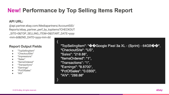## **New! Performance by Top Selling Items Report**

### **API URL:**

@api.partner.ebay.com/Mediapartners/AccountSID/ Reports/ebay\_partner\_perf\_by\_topitems?CHECKOUT \_SITE=0&TOP\_SELLING\_ITEM=0&START\_DATE=yyyy -mm-dd&END\_DATE=yyyy-mm-dd

#### **Report Output Fields**

- "TopSellingItem"
- "CheckoutSite"
- "Impressions"
- "Sales"
- "ItemsOrdered"
- "Transactions"
- "Earnings"
- "PctOfSales"
- $"AIV"$

"TopSellingItem": "��Google Pixel 3a XL - (Sprint) - 64GB��", "CheckoutSite": "US", "Sales": "218.88", "ItemsOrdered": "1", "Transactions": "1". "Earnings": "8.8700", "PctOfSales": "0.0300", "AIV": "288.88"

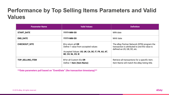### **Performance by Top Selling Items Parameters and Valid Values**

| <b>Parameter Name</b>   | <b>Valid Values</b>                                                                                                                        | <b>Definition</b>                                                                                                          |
|-------------------------|--------------------------------------------------------------------------------------------------------------------------------------------|----------------------------------------------------------------------------------------------------------------------------|
| <b>START_DATE</b>       | YYYY-MM-DD                                                                                                                                 | MIN date                                                                                                                   |
| <b>END_DATE</b>         | YYYY-MM-DD                                                                                                                                 | MAX date                                                                                                                   |
| <b>CHECKOUT_SITE</b>    | <b>0</b> to return all OR<br>Define 1 value from accepted values<br>Accepted Values: US, UK, CA, DE, IT, FR, AU, AT,<br>BE, CH, NL, ES, IE | The eBay Partner Network (EPN) program the<br>transaction is attributed to and the value is<br>defined as US, GB, DE, etc. |
| <b>TOP_SELLING_ITEM</b> | <b>0</b> for all Custom IDs OR<br>Define 1 Item (Item Name)                                                                                | Retrieve all transactions for a specific item.<br>Item Name will match the eBay listing title.                             |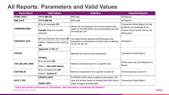### **All Reports: Parameters and Valid Values**

| <b>Param Name</b>    | <b>Valid Values</b>                      | <b>Definition</b>                                                                                                                | <b>Impacted Reports</b>                                                           |
|----------------------|------------------------------------------|----------------------------------------------------------------------------------------------------------------------------------|-----------------------------------------------------------------------------------|
| <b>START_DATE</b>    | YYYY-MM-DD                               | MIN date                                                                                                                         | All Reports                                                                       |
| <b>END_DATE</b>      | YYYY-MM-DD                               | MAX date                                                                                                                         | All Reports                                                                       |
|                      | <b>0</b> for all campaign OR             |                                                                                                                                  | Transaction Detail Report, by Day,                                                |
| <b>CAMPAIGN_EBAY</b> | CampID (only one campID<br>allowed)      | Allows for all Campaign IDs to be included in the<br>report or the field allows for one Campaign ID to be<br>retrieved per call. | by Month, by Campaign ID, by<br>Custom ID, by Tool ID, and by Top<br>Selling Item |
|                      | <b>0</b> for all Checkout Site values OR | The eBay Partner Network (EPN) program the                                                                                       |                                                                                   |
| CHECKOUT_SITE        | Define 1 Checkout Site value (ie,<br>US) | transaction is attributed to and the value is defined<br>as US, UK, DE, etc.                                                     | All Reports                                                                       |
|                      | Approved, OR All, OR                     |                                                                                                                                  |                                                                                   |
| <b>STATUS</b>        |                                          | Matches the status of the transaction.                                                                                           | <b>Transaction Detail Report</b>                                                  |
|                      | <b>Pending</b>                           |                                                                                                                                  |                                                                                   |
|                      | <b>0</b> for all items OR                |                                                                                                                                  | Performance by Top Selling Items                                                  |
| TOP_SELLING_ITEM     | Define 1 Item (Item Name)                | Retrieve all transactions for a specific item.                                                                                   | Report                                                                            |
| <b>CUSTOM_ID</b>     | <b>0</b> for all Custom IDs OR           | Retrieve transactions for a specific Custom ID                                                                                   | Performance by Custom ID                                                          |
|                      | Define 1 Custom ID                       |                                                                                                                                  |                                                                                   |
|                      | <b>UPDATE_DATE</b>                       | If UPDATE_DATE value is added to this param, the                                                                                 |                                                                                   |
| DATE_TYPE            | <b>EVENT DATE</b>                        | data will retrieve based on Update Date field (which<br>maps to legacy posting date).                                            | <b>Transaction Detail Report</b>                                                  |

**\*\*Date parameters pull based on "EventDate" (the transaction timestamp) by Default\*\***

© 2018 eBay. All rights reserved.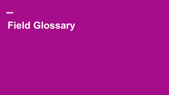# **Field Glossary**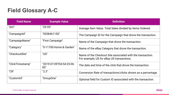## **Field Glossary A-C**

| <b>Field Name</b> | <b>Example Value</b>            | <b>Definition</b>                                                                                       |
|-------------------|---------------------------------|---------------------------------------------------------------------------------------------------------|
| "AIV"             | "29.95"                         | Average Item Value. Total Sales divided by Items Ordered.                                               |
| "CampaignId"      | "5338461150"                    | The Campaign ID for the Campaign that drove the transaction.                                            |
| "CampaignName"    | "First Campaign"                | Name of the Campaign that drove the transaction.                                                        |
| "Category"        | "0-11700-Home & Garden"         | Name of the eBay Category that drove the transaction.                                                   |
| "CheckoutSite"    | "US"                            | Name of the Checkout Site associated with the transaction.<br>For example, US for eBay US transactions. |
| "ClickTimestamp"  | "2019-07-09T04:54:25-06:<br>00" | The date and time of the click that drove the transaction.                                              |
| "CR"              | "2.3"                           | Conversion Rate of transactions/clicks shown as a percentage.                                           |
| "CustomId"        | "GroupOne"                      | Optional field for Custom ID associated with the transaction.                                           |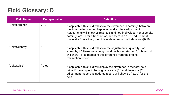### **Field Glossary: D**

| <b>Field Name</b> | <b>Example Value</b> | <b>Definition</b>                                                                                                                                                                                                                                                                                                                                              |
|-------------------|----------------------|----------------------------------------------------------------------------------------------------------------------------------------------------------------------------------------------------------------------------------------------------------------------------------------------------------------------------------------------------------------|
| "DeltaEarnings"   | $" -0.10"$           | If applicable, this field will show the difference in earnings between<br>the time the transaction happened and a future adjustment.<br>Adjustments will show as reversals and not final values. For example,<br>earnings are \$1 for a transaction, and there is a \$0.10 adjustment<br>made at a future then, then this updated record will show as -\$0.10. |
| "DeltaQuantity"   | $"$ -1"              | If applicable, this field will show the adjustment in quantity. For<br>example, if 3 items were bought and the buyer returned 1, this record<br>will show "-1" to represent the difference from the original<br>transaction record.                                                                                                                            |
| "DeltaSales"      | $" -2.00"$           | If applicable, this field will display the difference in the total sale<br>price. For example, if the original sale is \$10 and there is a \$2<br>adjustment made, this updated record will show as "-2.00" for this<br>field.                                                                                                                                 |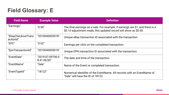### **Field Glossary: E**

| <b>Field Name</b>               | <b>Example Value</b>              | <b>Definition</b>                                                                                                                                  |
|---------------------------------|-----------------------------------|----------------------------------------------------------------------------------------------------------------------------------------------------|
| "Earnings"                      | "0.90"                            | The final earnings on a sale. For example, if earnings are \$1, and there is a<br>\$0.10 adjustment made, this updated record will show as \$0.90. |
| "EbayCheckoutTrans<br>actionId" | "2010040005018"                   | Unique eBay transaction ID associated with the transaction.                                                                                        |
| "EPC"                           | "0.02"                            | Earnings per click on the completed transaction.                                                                                                   |
| "EpnTransactionId"              | "2010040005018"                   | Unique EPN transaction ID associated with the transaction.                                                                                         |
| "EventDate"                     | "2019-07-09T00:5<br>$8:41-06:00"$ | The date and time of the transaction.                                                                                                              |
| "EventName"                     | "Sale"                            | Name of the Event or completed transaction.                                                                                                        |
| "EventTypeId"                   | "18122"                           | Numerical identifier of the EventName. All records with an EventName of<br>"Sale" will have the ID of 18122.                                       |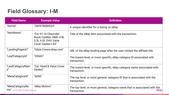### **Field Glossary: I-M**

| <b>Field Name</b>                                           | <b>Example Value</b>                                                                                      | <b>Definition</b>                                                                                 |
|-------------------------------------------------------------|-----------------------------------------------------------------------------------------------------------|---------------------------------------------------------------------------------------------------|
| "ItemId"                                                    | "282978080524"                                                                                            | A unique identifier for a listing on eBay.                                                        |
| "ItemName"                                                  | "For 97-16 Chevrolet<br><b>Buick Cadillac GMC 4.8L</b><br>5.3L 6.0L OHV Valve<br><b>Cover Gasket LS3"</b> | Title of the eBay item associated with the transaction.                                           |
| "LandingPageUrl"                                            | "https://www.ebay.com"                                                                                    | URL of the eBay landing page after the user clicked the affiliate link.                           |
| "LeafCategoryId"                                            | "33665"                                                                                                   | The lowest-level, or most specific, eBay category ID associated with<br>transaction.              |
| "LeafCategoryNam<br>$e$ "                                   | "Cyl. Head & Valve Cover<br>Gasket"                                                                       | The lowest-level, or most specific, eBay category name associated with<br>transaction.            |
| "MetaCategoryId"                                            | "6000"                                                                                                    | The top level, or most general, category ID that is associated with the<br>transaction.           |
| "MetaCategoryNa<br>$me''$ © 2018 eBay. All rights reserved. | "eBay Motors"                                                                                             | The top level, or most general, category name that is associated with the<br>ebay<br>transaction. |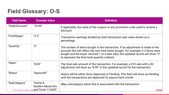### **Field Glossary: O-S**

| <b>Field Name</b> | <b>Example Value</b>                                                             | <b>Definition</b>                                                                                                                                                                                                                                                                                            |
|-------------------|----------------------------------------------------------------------------------|--------------------------------------------------------------------------------------------------------------------------------------------------------------------------------------------------------------------------------------------------------------------------------------------------------------|
| "OrderDiscount"   | "10.00"                                                                          | If applicable, the value of the coupon or any promotion code used to receive a<br>discount.                                                                                                                                                                                                                  |
| "PctOfSales"      | "2.3"                                                                            | Transaction earnings divided by total transaction sale value shown as a<br>percentage.                                                                                                                                                                                                                       |
| "Quantity"        | "2"                                                                              | The number of items bought in the transaction. If an adjustment is made to the<br>account this will reflect the new total items bought. For example, if 3 items were<br>bought and the buyer returned 1 at a later date, this updated record will show "2"<br>to represent the final total quantity ordered. |
| "Sales"           | "8.00"                                                                           | The total sale amount of the transaction. For example, a \$10 sale with a \$2<br>adjustment will show as "8.00" in this updated record for the transaction.                                                                                                                                                  |
| "Status"          | "Approved"                                                                       | Status will be either show Approved or Pending. This field will show as Pending<br>until the transactions are Approved for payout each month.                                                                                                                                                                |
| "SubCategory"     | "Home &<br>Garden>Above-Gro<br>© 2018 eBay. All rights reserved Bd Pools-116405" | eBay subcategory name that is associated with the transaction.<br>ebav                                                                                                                                                                                                                                       |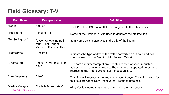### **Field Glossary: T-V**

| <b>Field Name</b>                                       | <b>Example Value</b>                                                      | <b>Definition</b>                                                                                                                                                                             |
|---------------------------------------------------------|---------------------------------------------------------------------------|-----------------------------------------------------------------------------------------------------------------------------------------------------------------------------------------------|
| "Toolld"                                                | "20000"                                                                   | Tool ID of the EPN tool or API used to generate the affiliate link.                                                                                                                           |
| "ToolName"                                              | "Finding API"                                                             | Name of the EPN tool or API used to generate the affiliate link.                                                                                                                              |
| "TopSellingItem"                                        | "Dyson Cinetic Big Ball<br>Multi Floor Upright<br>Vacuum   Fuchsia   New" | Item Name as it is displayed in the title of the listing.                                                                                                                                     |
| "TrafficType"                                           | "Desktop"                                                                 | Indicates the type of device the traffic converted on. If captured, will<br>show values such as Desktop, Mobile Web, Tablet.                                                                  |
| "UpdateDate"                                            | "2019-07-09T00:58:41-0<br>6:00"                                           | The date and timestamp of any updates to the transaction, such as<br>adjustments made to the record. The most recent updated timestamp<br>represents the most current final transaction info. |
| "UserFrequency"                                         | "New"                                                                     | This field will represent the frequency type of buyer. The valid values for<br>this field are Other, New, Reactivated, Frequent, Retained.                                                    |
| "VerticalCategory"<br>© 2018 eBay. All rights reserved. | "Parts & Accessories"                                                     | eBay Vertical name that is associated with the transaction.<br>ebay                                                                                                                           |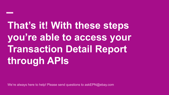# **That's it! With these steps you're able to access your Transaction Detail Report through APIs**

We're always here to help! Please send questions to askEPN@ebay.com